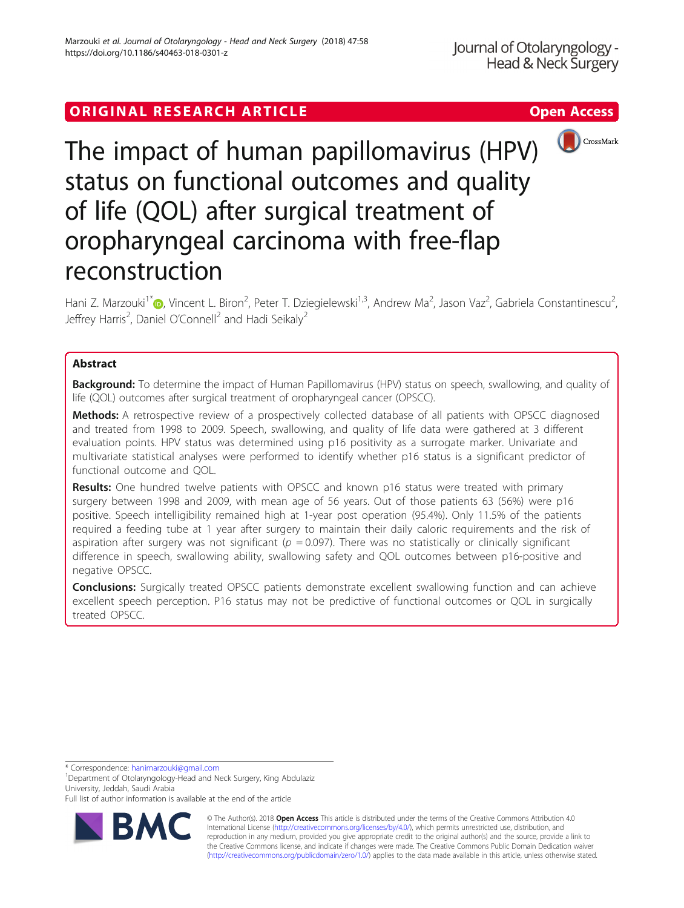# ORIGINAL RESEARCH ARTICLE **CONSIDERING OPEN ACCESS**



The impact of human papillomavirus (HPV) status on functional outcomes and quality of life (QOL) after surgical treatment of oropharyngeal carcinoma with free-flap reconstruction

Hani Z. Marzouki<sup>1[\\*](http://orcid.org/0000-0002-0707-1851)</sup>®, Vincent L. Biron<sup>2</sup>, Peter T. Dziegielewski<sup>1,3</sup>, Andrew Ma<sup>2</sup>, Jason Vaz<sup>2</sup>, Gabriela Constantinescu<sup>2</sup> , Jeffrey Harris<sup>2</sup>, Daniel O'Connell<sup>2</sup> and Hadi Seikaly<sup>2</sup>

# Abstract

Background: To determine the impact of Human Papillomavirus (HPV) status on speech, swallowing, and quality of life (QOL) outcomes after surgical treatment of oropharyngeal cancer (OPSCC).

Methods: A retrospective review of a prospectively collected database of all patients with OPSCC diagnosed and treated from 1998 to 2009. Speech, swallowing, and quality of life data were gathered at 3 different evaluation points. HPV status was determined using p16 positivity as a surrogate marker. Univariate and multivariate statistical analyses were performed to identify whether p16 status is a significant predictor of functional outcome and QOL.

Results: One hundred twelve patients with OPSCC and known p16 status were treated with primary surgery between 1998 and 2009, with mean age of 56 years. Out of those patients 63 (56%) were p16 positive. Speech intelligibility remained high at 1-year post operation (95.4%). Only 11.5% of the patients required a feeding tube at 1 year after surgery to maintain their daily caloric requirements and the risk of aspiration after surgery was not significant ( $p = 0.097$ ). There was no statistically or clinically significant difference in speech, swallowing ability, swallowing safety and QOL outcomes between p16-positive and negative OPSCC.

**Conclusions:** Surgically treated OPSCC patients demonstrate excellent swallowing function and can achieve excellent speech perception. P16 status may not be predictive of functional outcomes or QOL in surgically treated OPSCC.

\* Correspondence: [hanimarzouki@gmail.com](mailto:hanimarzouki@gmail.com) <sup>1</sup>

Department of Otolaryngology-Head and Neck Surgery, King Abdulaziz University, Jeddah, Saudi Arabia

Full list of author information is available at the end of the article



© The Author(s). 2018 Open Access This article is distributed under the terms of the Creative Commons Attribution 4.0 International License [\(http://creativecommons.org/licenses/by/4.0/](http://creativecommons.org/licenses/by/4.0/)), which permits unrestricted use, distribution, and reproduction in any medium, provided you give appropriate credit to the original author(s) and the source, provide a link to the Creative Commons license, and indicate if changes were made. The Creative Commons Public Domain Dedication waiver [\(http://creativecommons.org/publicdomain/zero/1.0/](http://creativecommons.org/publicdomain/zero/1.0/)) applies to the data made available in this article, unless otherwise stated.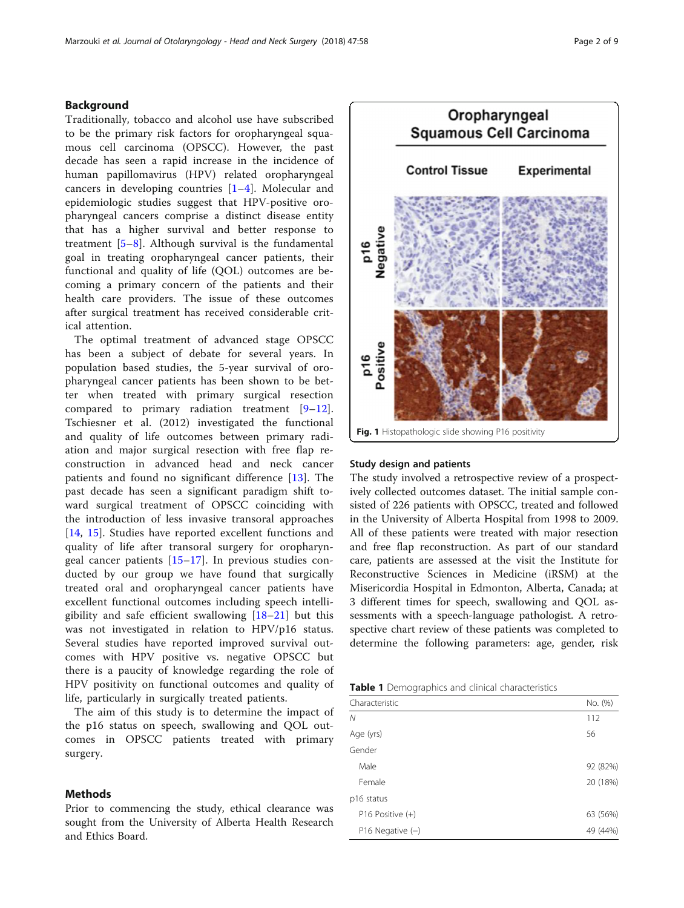# <span id="page-1-0"></span>Background

Traditionally, tobacco and alcohol use have subscribed to be the primary risk factors for oropharyngeal squamous cell carcinoma (OPSCC). However, the past decade has seen a rapid increase in the incidence of human papillomavirus (HPV) related oropharyngeal cancers in developing countries [[1](#page-7-0)–[4\]](#page-7-0). Molecular and epidemiologic studies suggest that HPV-positive oropharyngeal cancers comprise a distinct disease entity that has a higher survival and better response to treatment  $[5-8]$  $[5-8]$  $[5-8]$  $[5-8]$ . Although survival is the fundamental goal in treating oropharyngeal cancer patients, their functional and quality of life (QOL) outcomes are becoming a primary concern of the patients and their health care providers. The issue of these outcomes after surgical treatment has received considerable critical attention.

The optimal treatment of advanced stage OPSCC has been a subject of debate for several years. In population based studies, the 5-year survival of oropharyngeal cancer patients has been shown to be better when treated with primary surgical resection compared to primary radiation treatment [[9](#page-7-0)–[12](#page-7-0)]. Tschiesner et al. (2012) investigated the functional and quality of life outcomes between primary radiation and major surgical resection with free flap reconstruction in advanced head and neck cancer patients and found no significant difference [\[13](#page-7-0)]. The past decade has seen a significant paradigm shift toward surgical treatment of OPSCC coinciding with the introduction of less invasive transoral approaches [[14,](#page-7-0) [15](#page-7-0)]. Studies have reported excellent functions and quality of life after transoral surgery for oropharyngeal cancer patients [[15](#page-7-0)–[17\]](#page-7-0). In previous studies conducted by our group we have found that surgically treated oral and oropharyngeal cancer patients have excellent functional outcomes including speech intelligibility and safe efficient swallowing  $[18–21]$  $[18–21]$  $[18–21]$  $[18–21]$  but this was not investigated in relation to HPV/p16 status. Several studies have reported improved survival outcomes with HPV positive vs. negative OPSCC but there is a paucity of knowledge regarding the role of HPV positivity on functional outcomes and quality of life, particularly in surgically treated patients.

The aim of this study is to determine the impact of the p16 status on speech, swallowing and QOL outcomes in OPSCC patients treated with primary surgery.

# Methods

Prior to commencing the study, ethical clearance was sought from the University of Alberta Health Research and Ethics Board.



#### Study design and patients

The study involved a retrospective review of a prospectively collected outcomes dataset. The initial sample consisted of 226 patients with OPSCC, treated and followed in the University of Alberta Hospital from 1998 to 2009. All of these patients were treated with major resection and free flap reconstruction. As part of our standard care, patients are assessed at the visit the Institute for Reconstructive Sciences in Medicine (iRSM) at the Misericordia Hospital in Edmonton, Alberta, Canada; at 3 different times for speech, swallowing and QOL assessments with a speech-language pathologist. A retrospective chart review of these patients was completed to determine the following parameters: age, gender, risk

| Table 1 Demographics and clinical characteristics |  |
|---------------------------------------------------|--|
|---------------------------------------------------|--|

| Characteristic     | No. (%)  |
|--------------------|----------|
| N                  | 112      |
| Age (yrs)          | 56       |
| Gender             |          |
| Male               | 92 (82%) |
| Female             | 20 (18%) |
| p16 status         |          |
| P16 Positive $(+)$ | 63 (56%) |
| P16 Negative $(-)$ | 49 (44%) |
|                    |          |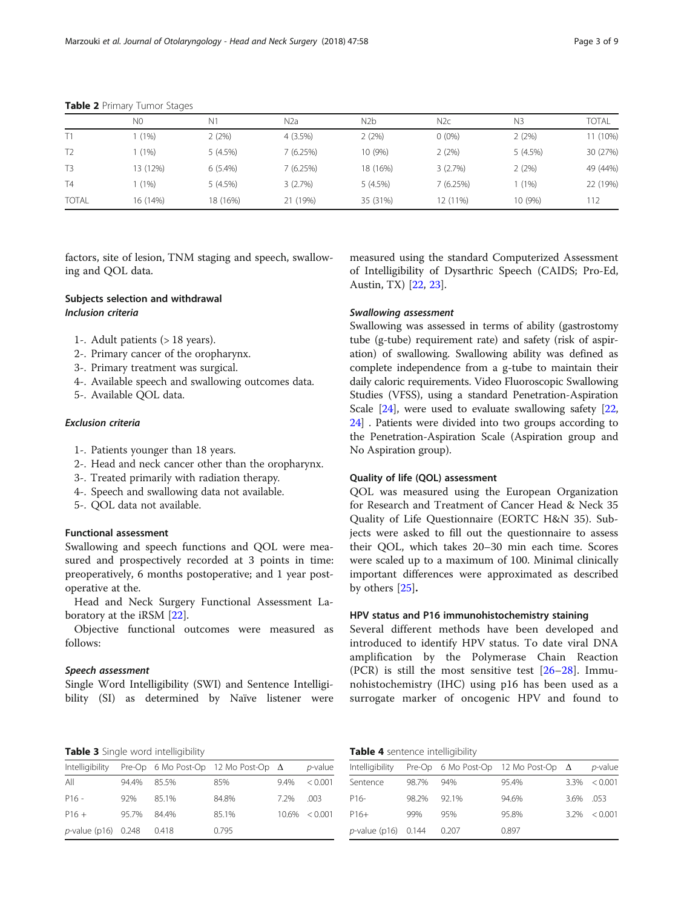|                | N <sub>0</sub> | N <sub>1</sub> | N <sub>2</sub> a | N <sub>2</sub> b | N2c      | N <sub>3</sub> | <b>TOTAL</b> |
|----------------|----------------|----------------|------------------|------------------|----------|----------------|--------------|
|                | (1%)           | 2(2%)          | 4(3.5%)          | 2(2%)            | $0(0\%)$ | 2(2%)          | 11 (10%)     |
| T <sub>2</sub> | (1%)           | $5(4.5\%)$     | 7(6.25%)         | 10 (9%)          | 2(2%)    | 5(4.5%)        | 30 (27%)     |
| T <sub>3</sub> | 13 (12%)       | $6(5.4\%)$     | 7(6.25%)         | 18 (16%)         | 3(2.7%)  | 2(2%)          | 49 (44%)     |
| <b>T4</b>      | (1%)           | 5 (4.5%)       | 3(2.7%)          | $5(4.5\%)$       | 7(6.25%) | 1(1%)          | 22 (19%)     |
| <b>TOTAL</b>   | 16 (14%)       | 18 (16%)       | 21 (19%)         | 35 (31%)         | 12 (11%) | 10 (9%)        | 112          |

<span id="page-2-0"></span>Table 2 Primary Tumor Stages

factors, site of lesion, TNM staging and speech, swallowing and QOL data.

# Subjects selection and withdrawal Inclusion criteria

- 1-. Adult patients (> 18 years).
- 2-. Primary cancer of the oropharynx.
- 3-. Primary treatment was surgical.
- 4-. Available speech and swallowing outcomes data.
- 5-. Available QOL data.

# Exclusion criteria

- 1-. Patients younger than 18 years.
- 2-. Head and neck cancer other than the oropharynx.
- 3-. Treated primarily with radiation therapy.
- 4-. Speech and swallowing data not available.
- 5-. QOL data not available.

## Functional assessment

Swallowing and speech functions and QOL were measured and prospectively recorded at 3 points in time: preoperatively, 6 months postoperative; and 1 year postoperative at the.

Head and Neck Surgery Functional Assessment Laboratory at the iRSM [[22](#page-7-0)].

Objective functional outcomes were measured as follows:

# Speech assessment

Single Word Intelligibility (SWI) and Sentence Intelligibility (SI) as determined by Naїve listener were measured using the standard Computerized Assessment of Intelligibility of Dysarthric Speech (CAIDS; Pro-Ed, Austin, TX) [\[22,](#page-7-0) [23\]](#page-7-0).

#### Swallowing assessment

Swallowing was assessed in terms of ability (gastrostomy tube (g-tube) requirement rate) and safety (risk of aspiration) of swallowing. Swallowing ability was defined as complete independence from a g-tube to maintain their daily caloric requirements. Video Fluoroscopic Swallowing Studies (VFSS), using a standard Penetration-Aspiration Scale [[24](#page-7-0)], were used to evaluate swallowing safety [[22](#page-7-0), [24](#page-7-0)] . Patients were divided into two groups according to the Penetration-Aspiration Scale (Aspiration group and No Aspiration group).

#### Quality of life (QOL) assessment

QOL was measured using the European Organization for Research and Treatment of Cancer Head & Neck 35 Quality of Life Questionnaire (EORTC H&N 35). Subjects were asked to fill out the questionnaire to assess their QOL, which takes 20–30 min each time. Scores were scaled up to a maximum of 100. Minimal clinically important differences were approximated as described by others [[25\]](#page-7-0).

#### HPV status and P16 immunohistochemistry staining

Several different methods have been developed and introduced to identify HPV status. To date viral DNA amplification by the Polymerase Chain Reaction (PCR) is still the most sensitive test [\[26](#page-7-0)–[28](#page-7-0)]. Immunohistochemistry (IHC) using p16 has been used as a surrogate marker of oncogenic HPV and found to

Table 3 Single word intelligibility

| Intelligibility        |      |       | Pre-Op 6 Mo Post-Op 12 Mo Post-Op $\Delta$ |      | $p$ -value          |
|------------------------|------|-------|--------------------------------------------|------|---------------------|
| All                    | 944% | 85.5% | 85%                                        | 94%  | < 0.001             |
| $P16 -$                | 92%  | 851%  | 84.8%                                      | 7 2% | .003                |
| $P16+$                 | 957% | 844%  | 85.1%                                      |      | $10.6\% \leq 0.001$ |
| $p$ -value (p16) 0.248 |      | 0.418 | 0.795                                      |      |                     |

| Table 4 sentence intelligibility |  |  |  |
|----------------------------------|--|--|--|
|----------------------------------|--|--|--|

| Intelligibility        |       |       | Pre-Op 6 Mo Post-Op 12 Mo Post-Op $\Delta$ |      | <i>p</i> -value |
|------------------------|-------|-------|--------------------------------------------|------|-----------------|
| Sentence               | 987%  | 94%   | 954%                                       | 33%  | < 0.001         |
| P <sub>16</sub> -      | 98.2% | 921%  | 94.6%                                      | 3.6% | - 053           |
| $P16+$                 | 99%   | 95%   | 95.8%                                      | 3 2% | < 0.001         |
| $p$ -value (p16) 0.144 |       | 0.207 | 0.897                                      |      |                 |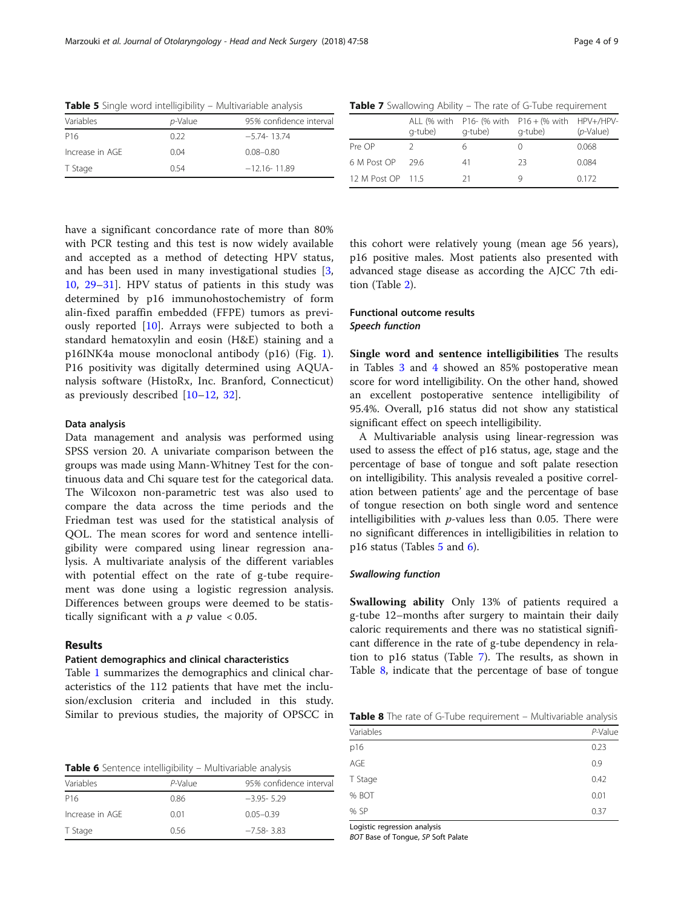| <b>Table 5</b> Single word intelligibility – Multivariable analysis |                 |                         |  |  |  |  |
|---------------------------------------------------------------------|-----------------|-------------------------|--|--|--|--|
| Variables                                                           | <i>p</i> -Value | 95% confidence interval |  |  |  |  |
| P <sub>16</sub>                                                     | 022             | $-574-1374$             |  |  |  |  |
| Increase in AGE                                                     | 0 <sub>04</sub> | $0.08 - 0.80$           |  |  |  |  |
| T Stage                                                             | 0.54            | $-12.16 - 11.89$        |  |  |  |  |

Table 7 Swallowing Ability – The rate of G-Tube requirement

|                   | q-tube) | q-tube) | ALL (% with P16- (% with P16 + (% with HPV+/HPV-<br>q-tube) | $(p\text{-Value})$ |  |
|-------------------|---------|---------|-------------------------------------------------------------|--------------------|--|
| Pre OP            |         | h       |                                                             | 0.068              |  |
| 6 M Post OP       | 296     | 41      | 23                                                          | 0.084              |  |
| 12 M Post OP 11.5 |         | 21      |                                                             | 0.172              |  |

have a significant concordance rate of more than 80% with PCR testing and this test is now widely available and accepted as a method of detecting HPV status, and has been used in many investigational studies [\[3](#page-7-0), [10,](#page-7-0) [29](#page-7-0)–[31\]](#page-7-0). HPV status of patients in this study was determined by p16 immunohostochemistry of form alin-fixed paraffin embedded (FFPE) tumors as previously reported [[10](#page-7-0)]. Arrays were subjected to both a standard hematoxylin and eosin (H&E) staining and a p16INK4a mouse monoclonal antibody (p16) (Fig. [1](#page-1-0)). P16 positivity was digitally determined using AQUAnalysis software (HistoRx, Inc. Branford, Connecticut) as previously described  $[10-12, 32]$  $[10-12, 32]$  $[10-12, 32]$  $[10-12, 32]$  $[10-12, 32]$  $[10-12, 32]$ .

## Data analysis

Data management and analysis was performed using SPSS version 20. A univariate comparison between the groups was made using Mann-Whitney Test for the continuous data and Chi square test for the categorical data. The Wilcoxon non-parametric test was also used to compare the data across the time periods and the Friedman test was used for the statistical analysis of QOL. The mean scores for word and sentence intelligibility were compared using linear regression analysis. A multivariate analysis of the different variables with potential effect on the rate of g-tube requirement was done using a logistic regression analysis. Differences between groups were deemed to be statistically significant with a  $p$  value < 0.05.

#### Results

#### Patient demographics and clinical characteristics

Table [1](#page-1-0) summarizes the demographics and clinical characteristics of the 112 patients that have met the inclusion/exclusion criteria and included in this study. Similar to previous studies, the majority of OPSCC in

|  |  |  | Table 6 Sentence intelligibility - Multivariable analysis |  |
|--|--|--|-----------------------------------------------------------|--|
|--|--|--|-----------------------------------------------------------|--|

| Variables       | P-Value | 95% confidence interval |
|-----------------|---------|-------------------------|
| P <sub>16</sub> | 0.86    | $-3.95 - 5.29$          |
| Increase in AGE | 0.01    | $0.05 - 0.39$           |
| T Stage         | 0.56    | $-7.58 - 3.83$          |
|                 |         |                         |

this cohort were relatively young (mean age 56 years), p16 positive males. Most patients also presented with advanced stage disease as according the AJCC 7th edition (Table [2](#page-2-0)).

# Functional outcome results Speech function

Single word and sentence intelligibilities The results in Tables [3](#page-2-0) and [4](#page-2-0) showed an 85% postoperative mean score for word intelligibility. On the other hand, showed an excellent postoperative sentence intelligibility of 95.4%. Overall, p16 status did not show any statistical significant effect on speech intelligibility.

A Multivariable analysis using linear-regression was used to assess the effect of p16 status, age, stage and the percentage of base of tongue and soft palate resection on intelligibility. This analysis revealed a positive correlation between patients' age and the percentage of base of tongue resection on both single word and sentence intelligibilities with  $p$ -values less than 0.05. There were no significant differences in intelligibilities in relation to p16 status (Tables 5 and 6).

#### Swallowing function

Swallowing ability Only 13% of patients required a g-tube 12–months after surgery to maintain their daily caloric requirements and there was no statistical significant difference in the rate of g-tube dependency in relation to p16 status (Table 7). The results, as shown in Table 8, indicate that the percentage of base of tongue

Table 8 The rate of G-Tube requirement – Multivariable analysis

| Variables<br>P-Value |  |
|----------------------|--|
| p16<br>0.23          |  |
| AGE<br>0.9           |  |
| T Stage<br>0.42      |  |
| % BOT<br>0.01        |  |
| % SP<br>0.37         |  |

Logistic regression analysis

BOT Base of Tongue, SP Soft Palate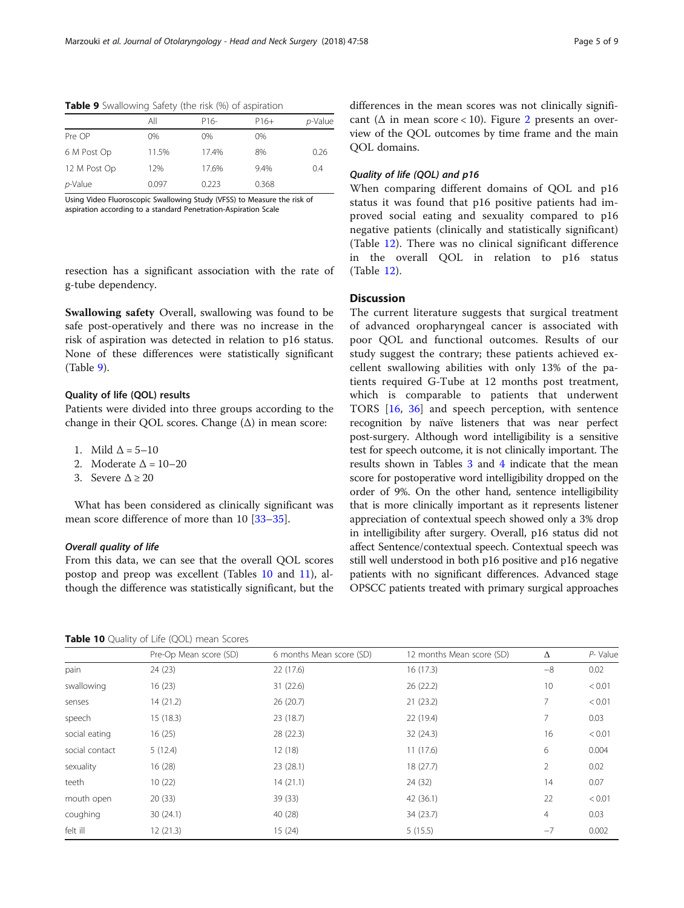|              | All   | P <sub>16</sub> - | $P16+$ | <i>p</i> -Value |
|--------------|-------|-------------------|--------|-----------------|
| Pre OP       | $0\%$ | $0\%$             | $0\%$  |                 |
| 6 M Post Op  | 11.5% | 17.4%             | 8%     | 0.26            |
| 12 M Post Op | 12%   | 17.6%             | 9.4%   | 0.4             |
| $p$ -Value   | 0.097 | 0.223             | 0.368  |                 |

Table 9 Swallowing Safety (the risk (%) of aspiration

Using Video Fluoroscopic Swallowing Study (VFSS) to Measure the risk of aspiration according to a standard Penetration-Aspiration Scale

resection has a significant association with the rate of g-tube dependency.

Swallowing safety Overall, swallowing was found to be safe post-operatively and there was no increase in the risk of aspiration was detected in relation to p16 status. None of these differences were statistically significant (Table 9).

#### Quality of life (QOL) results

Patients were divided into three groups according to the change in their QOL scores. Change  $(\Delta)$  in mean score:

- 1. Mild  $\Delta = 5-10$
- 2. Moderate  $\Delta = 10-20$
- 3. Severe  $\Delta \geq 20$

What has been considered as clinically significant was mean score difference of more than 10 [[33](#page-7-0)–[35](#page-7-0)].

#### Overall quality of life

From this data, we can see that the overall QOL scores postop and preop was excellent (Tables 10 and [11\)](#page-5-0), although the difference was statistically significant, but the differences in the mean scores was not clinically significant ( $\Delta$  in mean score < 10). Figure [2](#page-5-0) presents an overview of the QOL outcomes by time frame and the main QOL domains.

#### Quality of life (QOL) and p16

When comparing different domains of QOL and p16 status it was found that p16 positive patients had improved social eating and sexuality compared to p16 negative patients (clinically and statistically significant) (Table [12\)](#page-6-0). There was no clinical significant difference in the overall QOL in relation to p16 status (Table [12\)](#page-6-0).

# Discussion

The current literature suggests that surgical treatment of advanced oropharyngeal cancer is associated with poor QOL and functional outcomes. Results of our study suggest the contrary; these patients achieved excellent swallowing abilities with only 13% of the patients required G-Tube at 12 months post treatment, which is comparable to patients that underwent TORS [[16,](#page-7-0) [36\]](#page-7-0) and speech perception, with sentence recognition by naïve listeners that was near perfect post-surgery. Although word intelligibility is a sensitive test for speech outcome, it is not clinically important. The results shown in Tables [3](#page-2-0) and [4](#page-2-0) indicate that the mean score for postoperative word intelligibility dropped on the order of 9%. On the other hand, sentence intelligibility that is more clinically important as it represents listener appreciation of contextual speech showed only a 3% drop in intelligibility after surgery. Overall, p16 status did not affect Sentence/contextual speech. Contextual speech was still well understood in both p16 positive and p16 negative patients with no significant differences. Advanced stage OPSCC patients treated with primary surgical approaches

Table 10 Quality of Life (QOL) mean Scores

|                | Pre-Op Mean score (SD) | 6 months Mean score (SD) | 12 months Mean score (SD) | Δ               | $P-$ Value |
|----------------|------------------------|--------------------------|---------------------------|-----------------|------------|
| pain           | 24(23)                 | 22(17.6)                 | 16(17.3)                  | $-8$            | 0.02       |
| swallowing     | 16(23)                 | 31(22.6)                 | 26 (22.2)                 | 10 <sup>°</sup> | < 0.01     |
| senses         | 14(21.2)               | 26(20.7)                 | 21(23.2)                  |                 | < 0.01     |
| speech         | 15(18.3)               | 23(18.7)                 | 22 (19.4)                 |                 | 0.03       |
| social eating  | 16(25)                 | 28 (22.3)                | 32(24.3)                  | 16              | < 0.01     |
| social contact | 5(12.4)                | 12(18)                   | 11(17.6)                  | 6               | 0.004      |
| sexuality      | 16(28)                 | 23(28.1)                 | 18(27.7)                  | 2               | 0.02       |
| teeth          | 10(22)                 | 14(21.1)                 | 24 (32)                   | 14              | 0.07       |
| mouth open     | 20(33)                 | 39(33)                   | 42 (36.1)                 | 22              | < 0.01     |
| coughing       | 30(24.1)               | 40 (28)                  | 34 (23.7)                 | 4               | 0.03       |
| felt ill       | 12(21.3)               | 15(24)                   | 5(15.5)                   | $-7$            | 0.002      |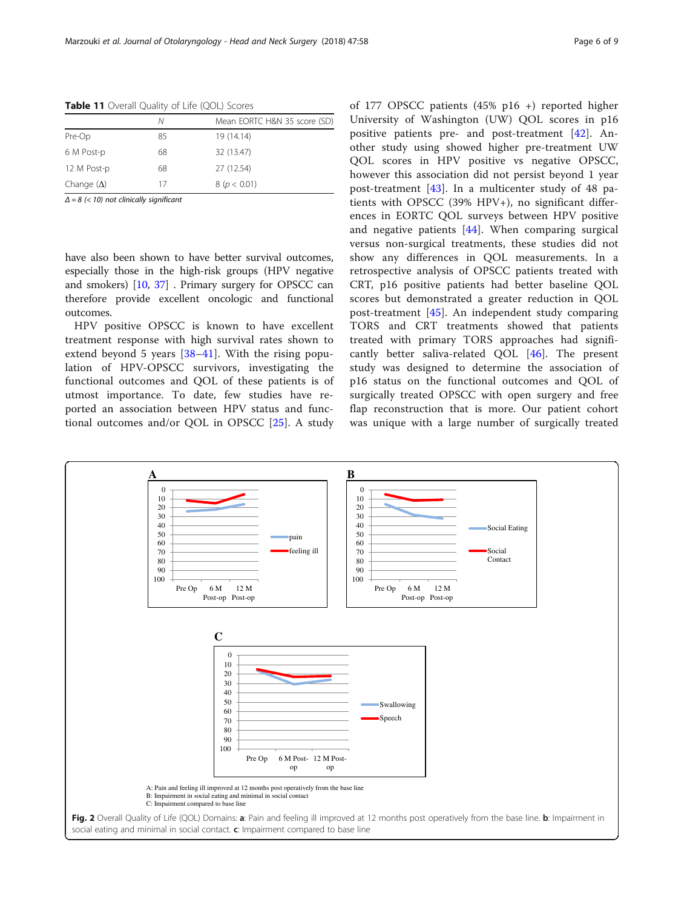|                   | Ν  | Mean EORTC H&N 35 score (SD) |
|-------------------|----|------------------------------|
| Pre-Op            | 85 | 19 (14.14)                   |
| 6 M Post-p        | 68 | 32 (13.47)                   |
| 12 M Post-p       | 68 | 27 (12.54)                   |
| Change $(\Delta)$ | 17 | 8(p < 0.01)                  |

<span id="page-5-0"></span>Table 11 Overall Quality of Life (QOL) Scores

 $\Delta = 8$  (< 10) not clinically significant

have also been shown to have better survival outcomes, especially those in the high-risk groups (HPV negative and smokers) [[10](#page-7-0), [37](#page-7-0)] . Primary surgery for OPSCC can therefore provide excellent oncologic and functional outcomes.

HPV positive OPSCC is known to have excellent treatment response with high survival rates shown to extend beyond 5 years  $[38-41]$  $[38-41]$  $[38-41]$  $[38-41]$ . With the rising population of HPV-OPSCC survivors, investigating the functional outcomes and QOL of these patients is of utmost importance. To date, few studies have reported an association between HPV status and functional outcomes and/or QOL in OPSCC [[25\]](#page-7-0). A study of 177 OPSCC patients (45% p16 +) reported higher University of Washington (UW) QOL scores in p16 positive patients pre- and post-treatment [\[42](#page-8-0)]. Another study using showed higher pre-treatment UW QOL scores in HPV positive vs negative OPSCC, however this association did not persist beyond 1 year post-treatment [[43\]](#page-8-0). In a multicenter study of 48 patients with OPSCC (39% HPV+), no significant differences in EORTC QOL surveys between HPV positive and negative patients [[44\]](#page-8-0). When comparing surgical versus non-surgical treatments, these studies did not show any differences in QOL measurements. In a retrospective analysis of OPSCC patients treated with CRT, p16 positive patients had better baseline QOL scores but demonstrated a greater reduction in QOL post-treatment [\[45](#page-8-0)]. An independent study comparing TORS and CRT treatments showed that patients treated with primary TORS approaches had significantly better saliva-related QOL [[46\]](#page-8-0). The present study was designed to determine the association of p16 status on the functional outcomes and QOL of surgically treated OPSCC with open surgery and free flap reconstruction that is more. Our patient cohort was unique with a large number of surgically treated

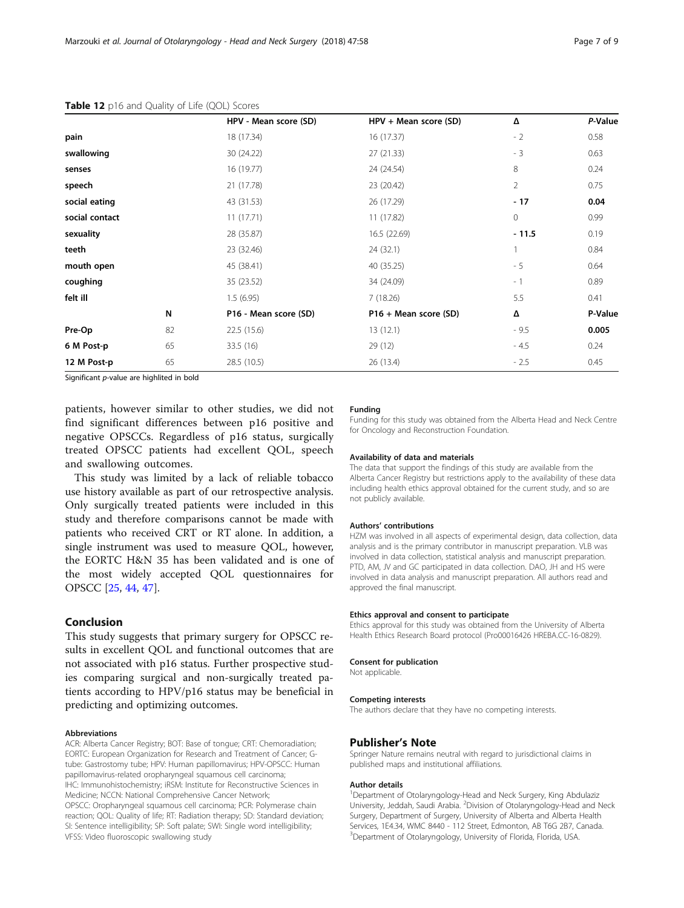|                |    | HPV - Mean score (SD) | HPV + Mean score (SD) | Δ              | P-Value |
|----------------|----|-----------------------|-----------------------|----------------|---------|
| pain           |    | 18 (17.34)            | 16(17.37)             | $-2$           | 0.58    |
| swallowing     |    | 30 (24.22)            | 27(21.33)             | - 3            | 0.63    |
| senses         |    | 16 (19.77)            | 24 (24.54)            | 8              | 0.24    |
| speech         |    | 21 (17.78)            | 23 (20.42)            | $\overline{2}$ | 0.75    |
| social eating  |    | 43 (31.53)            | 26 (17.29)            | $-17$          | 0.04    |
| social contact |    | 11(17.71)             | 11(17.82)             | 0              | 0.99    |
| sexuality      |    | 28 (35.87)            | 16.5 (22.69)          | $-11.5$        | 0.19    |
| teeth          |    | 23 (32.46)            | 24(32.1)              |                | 0.84    |
| mouth open     |    | 45 (38.41)            | 40 (35.25)            | $-5$           | 0.64    |
| coughing       |    | 35 (23.52)            | 34 (24.09)            | $-1$           | 0.89    |
| felt ill       |    | 1.5(6.95)             | 7(18.26)              | 5.5            | 0.41    |
|                | N  | P16 - Mean score (SD) | P16 + Mean score (SD) | Δ              | P-Value |
| Pre-Op         | 82 | 22.5 (15.6)           | 13(12.1)              | $-9.5$         | 0.005   |
| 6 M Post-p     | 65 | 33.5(16)              | 29 (12)               | $-4.5$         | 0.24    |
| 12 M Post-p    | 65 | 28.5 (10.5)           | 26 (13.4)             | $-2.5$         | 0.45    |

<span id="page-6-0"></span>Table 12 p16 and Quality of Life (QOL) Scores

Significant p-value are highlited in bold

patients, however similar to other studies, we did not find significant differences between p16 positive and negative OPSCCs. Regardless of p16 status, surgically treated OPSCC patients had excellent QOL, speech and swallowing outcomes.

This study was limited by a lack of reliable tobacco use history available as part of our retrospective analysis. Only surgically treated patients were included in this study and therefore comparisons cannot be made with patients who received CRT or RT alone. In addition, a single instrument was used to measure QOL, however, the EORTC H&N 35 has been validated and is one of the most widely accepted QOL questionnaires for OPSCC [\[25](#page-7-0), [44](#page-8-0), [47\]](#page-8-0).

# Conclusion

This study suggests that primary surgery for OPSCC results in excellent QOL and functional outcomes that are not associated with p16 status. Further prospective studies comparing surgical and non-surgically treated patients according to HPV/p16 status may be beneficial in predicting and optimizing outcomes.

#### Abbreviations

ACR: Alberta Cancer Registry; BOT: Base of tongue; CRT: Chemoradiation; EORTC: European Organization for Research and Treatment of Cancer; Gtube: Gastrostomy tube; HPV: Human papillomavirus; HPV-OPSCC: Human papillomavirus-related oropharyngeal squamous cell carcinoma; IHC: Immunohistochemistry; iRSM: Institute for Reconstructive Sciences in Medicine; NCCN: National Comprehensive Cancer Network; OPSCC: Oropharyngeal squamous cell carcinoma; PCR: Polymerase chain reaction; QOL: Quality of life; RT: Radiation therapy; SD: Standard deviation; SI: Sentence intelligibility; SP: Soft palate; SWI: Single word intelligibility; VFSS: Video fluoroscopic swallowing study

#### Funding

Funding for this study was obtained from the Alberta Head and Neck Centre for Oncology and Reconstruction Foundation.

#### Availability of data and materials

The data that support the findings of this study are available from the Alberta Cancer Registry but restrictions apply to the availability of these data including health ethics approval obtained for the current study, and so are not publicly available.

#### Authors' contributions

HZM was involved in all aspects of experimental design, data collection, data analysis and is the primary contributor in manuscript preparation. VLB was involved in data collection, statistical analysis and manuscript preparation. PTD, AM, JV and GC participated in data collection. DAO, JH and HS were involved in data analysis and manuscript preparation. All authors read and approved the final manuscript.

#### Ethics approval and consent to participate

Ethics approval for this study was obtained from the University of Alberta Health Ethics Research Board protocol (Pro00016426 HREBA.CC-16-0829).

#### Consent for publication

Not applicable.

#### Competing interests

The authors declare that they have no competing interests.

#### Publisher's Note

Springer Nature remains neutral with regard to jurisdictional claims in published maps and institutional affiliations.

#### Author details

<sup>1</sup>Department of Otolaryngology-Head and Neck Surgery, King Abdulaziz University, Jeddah, Saudi Arabia. <sup>2</sup> Division of Otolaryngology-Head and Neck Surgery, Department of Surgery, University of Alberta and Alberta Health Services, 1E4.34, WMC 8440 - 112 Street, Edmonton, AB T6G 2B7, Canada. <sup>3</sup> Department of Otolaryngology, University of Florida, Florida, USA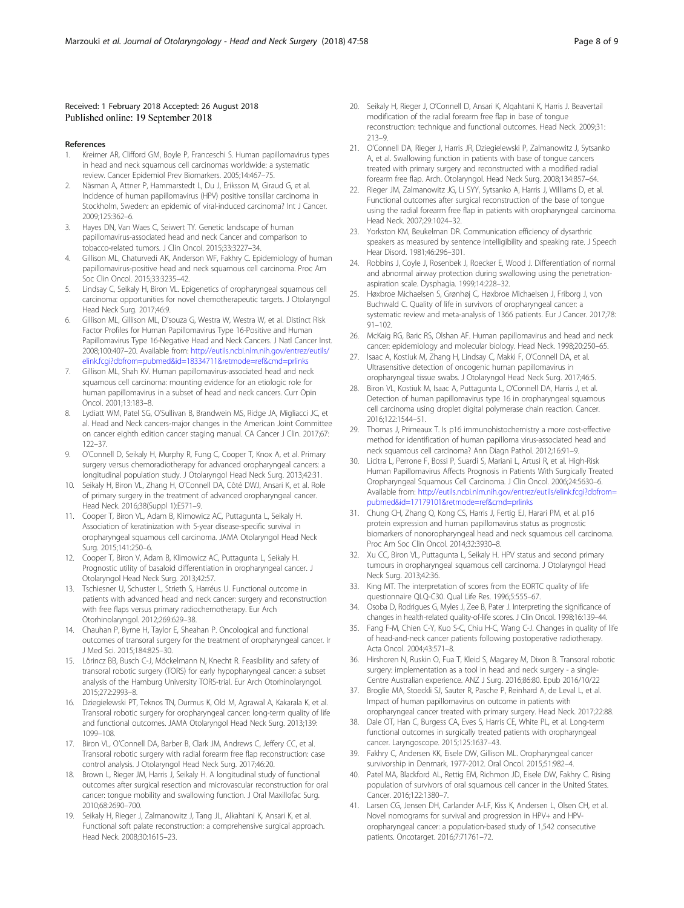#### <span id="page-7-0"></span>Received: 1 February 2018 Accepted: 26 August 2018 Published online: 19 September 2018

#### References

- 1. Kreimer AR, Clifford GM, Boyle P, Franceschi S. Human papillomavirus types in head and neck squamous cell carcinomas worldwide: a systematic review. Cancer Epidemiol Prev Biomarkers. 2005;14:467–75.
- 2. Näsman A, Attner P, Hammarstedt L, Du J, Eriksson M, Giraud G, et al. Incidence of human papillomavirus (HPV) positive tonsillar carcinoma in Stockholm, Sweden: an epidemic of viral-induced carcinoma? Int J Cancer. 2009;125:362–6.
- Hayes DN, Van Waes C, Seiwert TY. Genetic landscape of human papillomavirus-associated head and neck Cancer and comparison to tobacco-related tumors. J Clin Oncol. 2015;33:3227–34.
- 4. Gillison ML, Chaturvedi AK, Anderson WF, Fakhry C. Epidemiology of human papillomavirus-positive head and neck squamous cell carcinoma. Proc Am Soc Clin Oncol. 2015;33:3235–42.
- 5. Lindsay C, Seikaly H, Biron VL. Epigenetics of oropharyngeal squamous cell carcinoma: opportunities for novel chemotherapeutic targets. J Otolaryngol Head Neck Surg. 2017;46:9.
- 6. Gillison ML, Gillison ML, D'souza G, Westra W, Westra W, et al. Distinct Risk Factor Profiles for Human Papillomavirus Type 16-Positive and Human Papillomavirus Type 16-Negative Head and Neck Cancers. J Natl Cancer Inst. 2008;100:407–20. Available from: [http://eutils.ncbi.nlm.nih.gov/entrez/eutils/](http://eutils.ncbi.nlm.nih.gov/entrez/eutils/elink.fcgi?dbfrom=pubmed&id=18334711&retmode=ref&cmd=prlinks) [elink.fcgi?dbfrom=pubmed&id=18334711&retmode=ref&cmd=prlinks](http://eutils.ncbi.nlm.nih.gov/entrez/eutils/elink.fcgi?dbfrom=pubmed&id=18334711&retmode=ref&cmd=prlinks)
- 7. Gillison ML, Shah KV. Human papillomavirus-associated head and neck squamous cell carcinoma: mounting evidence for an etiologic role for human papillomavirus in a subset of head and neck cancers. Curr Opin Oncol. 2001;13:183–8.
- 8. Lydiatt WM, Patel SG, O'Sullivan B, Brandwein MS, Ridge JA, Migliacci JC, et al. Head and Neck cancers-major changes in the American Joint Committee on cancer eighth edition cancer staging manual. CA Cancer J Clin. 2017;67: 122–37.
- 9. O'Connell D, Seikaly H, Murphy R, Fung C, Cooper T, Knox A, et al. Primary surgery versus chemoradiotherapy for advanced oropharyngeal cancers: a longitudinal population study. J Otolaryngol Head Neck Surg. 2013;42:31.
- 10. Seikaly H, Biron VL, Zhang H, O'Connell DA, Côté DWJ, Ansari K, et al. Role of primary surgery in the treatment of advanced oropharyngeal cancer. Head Neck. 2016;38(Suppl 1):E571–9.
- 11. Cooper T, Biron VL, Adam B, Klimowicz AC, Puttagunta L, Seikaly H. Association of keratinization with 5-year disease-specific survival in oropharyngeal squamous cell carcinoma. JAMA Otolaryngol Head Neck Surg. 2015;141:250–6.
- 12. Cooper T, Biron V, Adam B, Klimowicz AC, Puttagunta L, Seikaly H. Prognostic utility of basaloid differentiation in oropharyngeal cancer. J Otolaryngol Head Neck Surg. 2013;42:57.
- 13. Tschiesner U, Schuster L, Strieth S, Harréus U. Functional outcome in patients with advanced head and neck cancer: surgery and reconstruction with free flaps versus primary radiochemotherapy. Eur Arch Otorhinolaryngol. 2012;269:629–38.
- 14. Chauhan P, Byrne H, Taylor E, Sheahan P. Oncological and functional outcomes of transoral surgery for the treatment of oropharyngeal cancer. Ir J Med Sci. 2015;184:825–30.
- 15. Lörincz BB, Busch C-J, Möckelmann N, Knecht R. Feasibility and safety of transoral robotic surgery (TORS) for early hypopharyngeal cancer: a subset analysis of the Hamburg University TORS-trial. Eur Arch Otorhinolaryngol. 2015;272:2993–8.
- 16. Dziegielewski PT, Teknos TN, Durmus K, Old M, Agrawal A, Kakarala K, et al. Transoral robotic surgery for oropharyngeal cancer: long-term quality of life and functional outcomes. JAMA Otolaryngol Head Neck Surg. 2013;139: 1099–108.
- 17. Biron VL, O'Connell DA, Barber B, Clark JM, Andrews C, Jeffery CC, et al. Transoral robotic surgery with radial forearm free flap reconstruction: case control analysis. J Otolaryngol Head Neck Surg. 2017;46:20.
- 18. Brown L, Rieger JM, Harris J, Seikaly H. A longitudinal study of functional outcomes after surgical resection and microvascular reconstruction for oral cancer: tongue mobility and swallowing function. J Oral Maxillofac Surg. 2010;68:2690–700.
- 19. Seikaly H, Rieger J, Zalmanowitz J, Tang JL, Alkahtani K, Ansari K, et al. Functional soft palate reconstruction: a comprehensive surgical approach. Head Neck. 2008;30:1615–23.
- 20. Seikaly H, Rieger J, O'Connell D, Ansari K, Alqahtani K, Harris J. Beavertail modification of the radial forearm free flap in base of tongue reconstruction: technique and functional outcomes. Head Neck. 2009;31: 213–9.
- 21. O'Connell DA, Rieger J, Harris JR, Dziegielewski P, Zalmanowitz J, Sytsanko A, et al. Swallowing function in patients with base of tongue cancers treated with primary surgery and reconstructed with a modified radial forearm free flap. Arch. Otolaryngol. Head Neck Surg. 2008;134:857–64.
- 22. Rieger JM, Zalmanowitz JG, Li SYY, Sytsanko A, Harris J, Williams D, et al. Functional outcomes after surgical reconstruction of the base of tongue using the radial forearm free flap in patients with oropharyngeal carcinoma. Head Neck. 2007;29:1024–32.
- 23. Yorkston KM, Beukelman DR. Communication efficiency of dysarthric speakers as measured by sentence intelligibility and speaking rate. J Speech Hear Disord. 1981;46:296–301.
- 24. Robbins J, Coyle J, Rosenbek J, Roecker E, Wood J. Differentiation of normal and abnormal airway protection during swallowing using the penetrationaspiration scale. Dysphagia. 1999;14:228–32.
- 25. Høxbroe Michaelsen S, Grønhøj C, Høxbroe Michaelsen J, Friborg J, von Buchwald C. Quality of life in survivors of oropharyngeal cancer: a systematic review and meta-analysis of 1366 patients. Eur J Cancer. 2017;78:  $91 - 102$
- 26. McKaig RG, Baric RS, Olshan AF. Human papillomavirus and head and neck cancer: epidemiology and molecular biology. Head Neck. 1998;20:250–65.
- 27. Isaac A, Kostiuk M, Zhang H, Lindsay C, Makki F, O'Connell DA, et al. Ultrasensitive detection of oncogenic human papillomavirus in oropharyngeal tissue swabs. J Otolaryngol Head Neck Surg. 2017;46:5.
- 28. Biron VL, Kostiuk M, Isaac A, Puttagunta L, O'Connell DA, Harris J, et al. Detection of human papillomavirus type 16 in oropharyngeal squamous cell carcinoma using droplet digital polymerase chain reaction. Cancer. 2016;122:1544–51.
- 29. Thomas J, Primeaux T. Is p16 immunohistochemistry a more cost-effective method for identification of human papilloma virus-associated head and neck squamous cell carcinoma? Ann Diagn Pathol. 2012;16:91–9.
- 30. Licitra L, Perrone F, Bossi P, Suardi S, Mariani L, Artusi R, et al. High-Risk Human Papillomavirus Affects Prognosis in Patients With Surgically Treated Oropharyngeal Squamous Cell Carcinoma. J Clin Oncol. 2006;24:5630–6. Available from: [http://eutils.ncbi.nlm.nih.gov/entrez/eutils/elink.fcgi?dbfrom=](http://eutils.ncbi.nlm.nih.gov/entrez/eutils/elink.fcgi?dbfrom=pubmed&id=17179101&retmode=ref&cmd=prlinks) [pubmed&id=17179101&retmode=ref&cmd=prlinks](http://eutils.ncbi.nlm.nih.gov/entrez/eutils/elink.fcgi?dbfrom=pubmed&id=17179101&retmode=ref&cmd=prlinks)
- 31. Chung CH, Zhang Q, Kong CS, Harris J, Fertig EJ, Harari PM, et al. p16 protein expression and human papillomavirus status as prognostic biomarkers of nonoropharyngeal head and neck squamous cell carcinoma. Proc Am Soc Clin Oncol. 2014;32:3930–8.
- 32. Xu CC, Biron VL, Puttagunta L, Seikaly H. HPV status and second primary tumours in oropharyngeal squamous cell carcinoma. J Otolaryngol Head Neck Surg. 2013;42:36.
- 33. King MT. The interpretation of scores from the EORTC quality of life questionnaire QLQ-C30. Qual Life Res. 1996;5:555–67.
- 34. Osoba D, Rodrigues G, Myles J, Zee B, Pater J. Interpreting the significance of changes in health-related quality-of-life scores. J Clin Oncol. 1998;16:139–44.
- 35. Fang F-M, Chien C-Y, Kuo S-C, Chiu H-C, Wang C-J. Changes in quality of life of head-and-neck cancer patients following postoperative radiotherapy. Acta Oncol. 2004;43:571–8.
- 36. Hirshoren N, Ruskin O, Fua T, Kleid S, Magarey M, Dixon B. Transoral robotic surgery: implementation as a tool in head and neck surgery - a single-Centre Australian experience. ANZ J Surg. 2016;86:80. Epub 2016/10/22
- 37. Broglie MA, Stoeckli SJ, Sauter R, Pasche P, Reinhard A, de Leval L, et al. Impact of human papillomavirus on outcome in patients with oropharyngeal cancer treated with primary surgery. Head Neck. 2017;22:88.
- 38. Dale OT, Han C, Burgess CA, Eves S, Harris CE, White PL, et al. Long-term functional outcomes in surgically treated patients with oropharyngeal cancer. Laryngoscope. 2015;125:1637–43.
- 39. Fakhry C, Andersen KK, Eisele DW, Gillison ML. Oropharyngeal cancer survivorship in Denmark, 1977-2012. Oral Oncol. 2015;51:982–4.
- 40. Patel MA, Blackford AL, Rettig EM, Richmon JD, Eisele DW, Fakhry C. Rising population of survivors of oral squamous cell cancer in the United States. Cancer. 2016;122:1380–7.
- 41. Larsen CG, Jensen DH, Carlander A-LF, Kiss K, Andersen L, Olsen CH, et al. Novel nomograms for survival and progression in HPV+ and HPVoropharyngeal cancer: a population-based study of 1,542 consecutive patients. Oncotarget. 2016;7:71761–72.